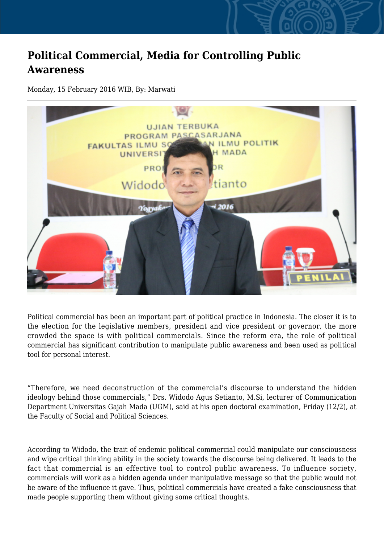## **Political Commercial, Media for Controlling Public Awareness**

Monday, 15 February 2016 WIB, By: Marwati



Political commercial has been an important part of political practice in Indonesia. The closer it is to the election for the legislative members, president and vice president or governor, the more crowded the space is with political commercials. Since the reform era, the role of political commercial has significant contribution to manipulate public awareness and been used as political tool for personal interest.

"Therefore, we need deconstruction of the commercial's discourse to understand the hidden ideology behind those commercials," Drs. Widodo Agus Setianto, M.Si, lecturer of Communication Department Universitas Gajah Mada (UGM), said at his open doctoral examination, Friday (12/2), at the Faculty of Social and Political Sciences.

According to Widodo, the trait of endemic political commercial could manipulate our consciousness and wipe critical thinking ability in the society towards the discourse being delivered. It leads to the fact that commercial is an effective tool to control public awareness. To influence society, commercials will work as a hidden agenda under manipulative message so that the public would not be aware of the influence it gave. Thus, political commercials have created a fake consciousness that made people supporting them without giving some critical thoughts.